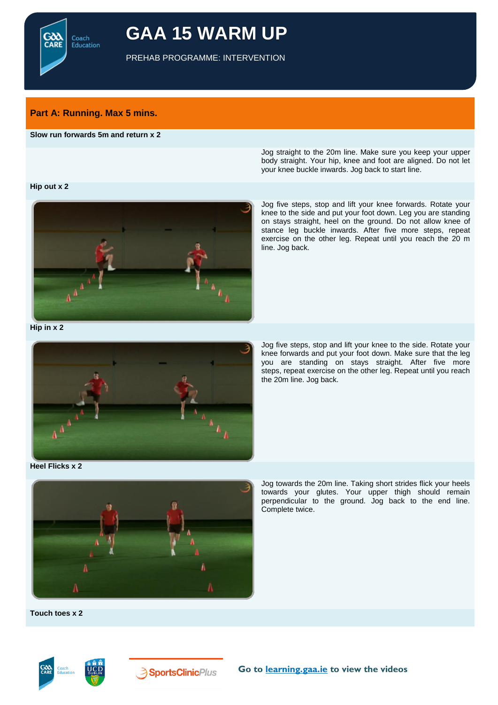Coach Education

# **GAA 15 WARM UP**

PREHAB PROGRAMME: INTERVENTION

# **Part A: Running. Max 5 mins.**

## **Slow run forwards 5m and return x 2**

Jog straight to the 20m line. Make sure you keep your upper body straight. Your hip, knee and foot are aligned. Do not let your knee buckle inwards. Jog back to start line.

#### **Hip out x 2**



Jog five steps, stop and lift your knee forwards. Rotate your knee to the side and put your foot down. Leg you are standing on stays straight, heel on the ground. Do not allow knee of stance leg buckle inwards. After five more steps, repeat exercise on the other leg. Repeat until you reach the 20 m line. Jog back.

**Hip in x 2**



Jog five steps, stop and lift your knee to the side. Rotate your knee forwards and put your foot down. Make sure that the leg you are standing on stays straight. After five more steps, repeat exercise on the other leg. Repeat until you reach the 20m line. Jog back.

**Heel Flicks x 2**



Jog towards the 20m line. Taking short strides flick your heels towards your glutes. Your upper thigh should remain perpendicular to the ground. Jog back to the end line. Complete twice.

**Touch toes x 2**



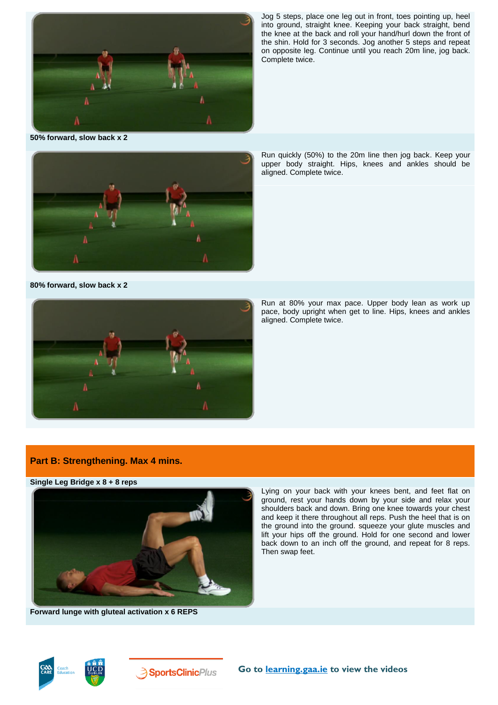

Jog 5 steps, place one leg out in front, toes pointing up, heel into ground, straight knee. Keeping your back straight, bend the knee at the back and roll your hand/hurl down the front of the shin. Hold for 3 seconds. Jog another 5 steps and repeat on opposite leg. Continue until you reach 20m line, jog back. Complete twice.

**50% forward, slow back x 2** 



**80% forward, slow back x 2**



Run quickly (50%) to the 20m line then jog back. Keep your upper body straight. Hips, knees and ankles should be aligned. Complete twice.

Run at 80% your max pace. Upper body lean as work up pace, body upright when get to line. Hips, knees and ankles aligned. Complete twice.

## **Part B: Strengthening. Max 4 mins.**

## **Single Leg Bridge x 8 + 8 reps**



ground, rest your hands down by your side and relax your shoulders back and down. Bring one knee towards your chest and keep it there throughout all reps. Push the heel that is on the ground into the ground. squeeze your glute muscles and lift your hips off the ground. Hold for one second and lower back down to an inch off the ground, and repeat for 8 reps. Then swap feet.

Lying on your back with your knees bent, and feet flat on

**Forward lunge with gluteal activation x 6 REPS**





**3** SportsClinicPlus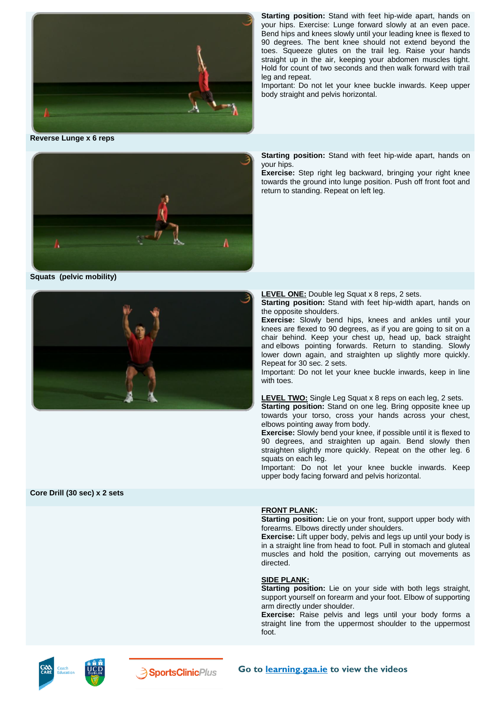

**Reverse Lunge x 6 reps**



**Squats (pelvic mobility)**



**Starting position:** Stand with feet hip-wide apart, hands on your hips. Exercise: Lunge forward slowly at an even pace. Bend hips and knees slowly until your leading knee is flexed to 90 degrees. The bent knee should not extend beyond the toes. Squeeze glutes on the trail leg. Raise your hands straight up in the air, keeping your abdomen muscles tight. Hold for count of two seconds and then walk forward with trail leg and repeat.

Important: Do not let your knee buckle inwards. Keep upper body straight and pelvis horizontal.

**Starting position:** Stand with feet hip-wide apart, hands on your hips.

**Exercise:** Step right leg backward, bringing your right knee towards the ground into lunge position. Push off front foot and return to standing. Repeat on left leg.

**LEVEL ONE:** Double leg Squat x 8 reps, 2 sets.

**Starting position:** Stand with feet hip-width apart, hands on the opposite shoulders.

**Exercise:** Slowly bend hips, knees and ankles until your knees are flexed to 90 degrees, as if you are going to sit on a chair behind. Keep your chest up, head up, back straight and elbows pointing forwards. Return to standing. Slowly lower down again, and straighten up slightly more quickly. Repeat for 30 sec. 2 sets.

Important: Do not let your knee buckle inwards, keep in line with toes.

**LEVEL TWO:** Single Leg Squat x 8 reps on each leg, 2 sets.

**Starting position:** Stand on one leg. Bring opposite knee up towards your torso, cross your hands across your chest, elbows pointing away from body.

**Exercise:** Slowly bend your knee, if possible until it is flexed to 90 degrees, and straighten up again. Bend slowly then straighten slightly more quickly. Repeat on the other leg. 6 squats on each leg.

Important: Do not let your knee buckle inwards. Keep upper body facing forward and pelvis horizontal.

#### **Core Drill (30 sec) x 2 sets**

#### **FRONT PLANK:**

**Starting position:** Lie on your front, support upper body with forearms. Elbows directly under shoulders.

**Exercise:** Lift upper body, pelvis and legs up until your body is in a straight line from head to foot. Pull in stomach and gluteal muscles and hold the position, carrying out movements as directed.

#### **SIDE PLANK:**

**Starting position:** Lie on your side with both legs straight, support yourself on forearm and your foot. Elbow of supporting arm directly under shoulder.

**Exercise:** Raise pelvis and legs until your body forms a straight line from the uppermost shoulder to the uppermost foot.



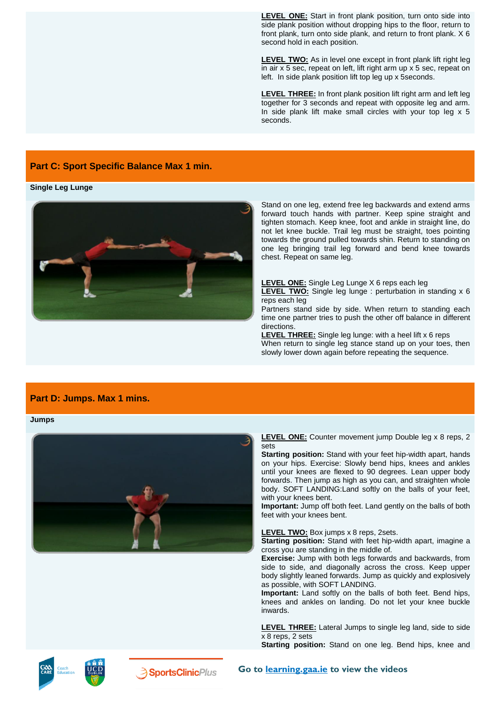**LEVEL ONE:** Start in front plank position, turn onto side into side plank position without dropping hips to the floor, return to front plank, turn onto side plank, and return to front plank. X 6 second hold in each position.

**LEVEL TWO:** As in level one except in front plank lift right leg in air x 5 sec, repeat on left, lift right arm up x 5 sec, repeat on left. In side plank position lift top leg up x 5seconds.

**LEVEL THREE:** In front plank position lift right arm and left leg together for 3 seconds and repeat with opposite leg and arm. In side plank lift make small circles with your top leg  $x$  5 seconds.

## **Part C: Sport Specific Balance Max 1 min.**

#### **Single Leg Lunge**



Stand on one leg, extend free leg backwards and extend arms forward touch hands with partner. Keep spine straight and tighten stomach. Keep knee, foot and ankle in straight line, do not let knee buckle. Trail leg must be straight, toes pointing towards the ground pulled towards shin. Return to standing on one leg bringing trail leg forward and bend knee towards chest. Repeat on same leg.

**LEVEL ONE:** Single Leg Lunge X 6 reps each leg **LEVEL TWO:** Single leg lunge : perturbation in standing x 6 reps each leg

Partners stand side by side. When return to standing each time one partner tries to push the other off balance in different directions.

**LEVEL THREE:** Single leg lunge: with a heel lift x 6 reps When return to single leg stance stand up on your toes, then slowly lower down again before repeating the sequence.

## **Part D: Jumps. Max 1 mins.**

#### **Jumps**



**LEVEL ONE:** Counter movement jump Double leg x 8 reps, 2 sets

**Starting position:** Stand with your feet hip-width apart, hands on your hips. Exercise: Slowly bend hips, knees and ankles until your knees are flexed to 90 degrees. Lean upper body forwards. Then jump as high as you can, and straighten whole body. SOFT LANDING:Land softly on the balls of your feet, with your knees bent.

**Important:** Jump off both feet. Land gently on the balls of both feet with your knees bent.

**LEVEL TWO:** Box jumps x 8 reps, 2sets.

**Starting position:** Stand with feet hip-width apart, imagine a cross you are standing in the middle of.

**Exercise:** Jump with both legs forwards and backwards, from side to side, and diagonally across the cross. Keep upper body slightly leaned forwards. Jump as quickly and explosively as possible, with SOFT LANDING.

**Important:** Land softly on the balls of both feet. Bend hips, knees and ankles on landing. Do not let your knee buckle inwards.

**LEVEL THREE:** Lateral Jumps to single leg land, side to side x 8 reps, 2 sets

**Starting position:** Stand on one leg. Bend hips, knee and



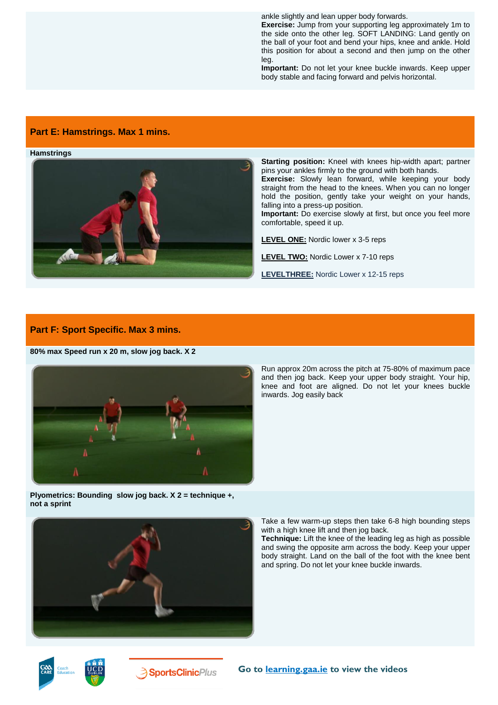ankle slightly and lean upper body forwards.

**Exercise:** Jump from your supporting leg approximately 1m to the side onto the other leg. SOFT LANDING: Land gently on the ball of your foot and bend your hips, knee and ankle. Hold this position for about a second and then jump on the other leg.

**Important:** Do not let your knee buckle inwards. Keep upper body stable and facing forward and pelvis horizontal.

## **Part E: Hamstrings. Max 1 mins.**

**Hamstrings**



**Starting position:** Kneel with knees hip-width apart; partner pins your ankles firmly to the ground with both hands.

**Exercise:** Slowly lean forward, while keeping your body straight from the head to the knees. When you can no longer hold the position, gently take your weight on your hands, falling into a press-up position.

**Important:** Do exercise slowly at first, but once you feel more comfortable, speed it up.

**LEVEL ONE:** Nordic lower x 3-5 reps

**LEVEL TWO:** Nordic Lower x 7-10 reps

**LEVELTHREE:** Nordic Lower x 12-15 reps

#### **Part F: Sport Specific. Max 3 mins.**

**80% max Speed run x 20 m, slow jog back. X 2** 



Run approx 20m across the pitch at 75-80% of maximum pace and then jog back. Keep your upper body straight. Your hip, knee and foot are aligned. Do not let your knees buckle inwards. Jog easily back

**Plyometrics: Bounding slow jog back. X 2 = technique +, not a sprint** 



Take a few warm-up steps then take 6-8 high bounding steps with a high knee lift and then jog back.

**Technique:** Lift the knee of the leading leg as high as possible and swing the opposite arm across the body. Keep your upper body straight. Land on the ball of the foot with the knee bent and spring. Do not let your knee buckle inwards.